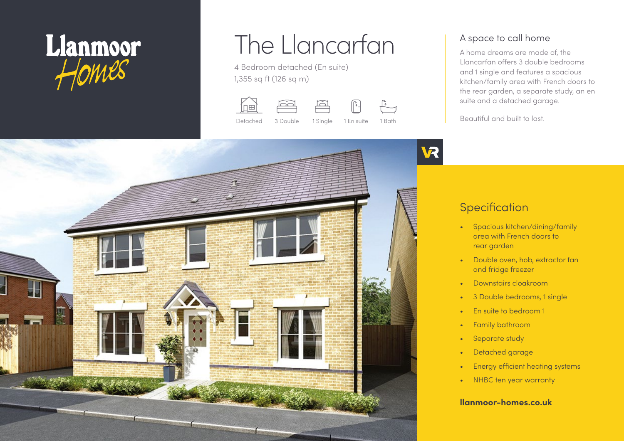

# The Llancarfan

4 Bedroom detached (En suite) 1,355 sq ft (126 sq m)









A space to call home

A home dreams are made of, the Llancarfan offers 3 double bedrooms and 1 single and features a spacious kitchen/family area with French doors to the rear garden, a separate study, an en suite and a detached garage.

Beautiful and built to last.



## **Specification**

- Spacious kitchen/dining/family area with French doors to rear garden
- Double oven, hob, extractor fan and fridge freezer
- Downstairs cloakroom
- 3 Double bedrooms, 1 single
- En suite to bedroom 1
- Family bathroom
- Separate study
- Detached garage
- Energy efficient heating systems
- NHBC ten year warranty

#### **llanmoor-homes.co.uk**